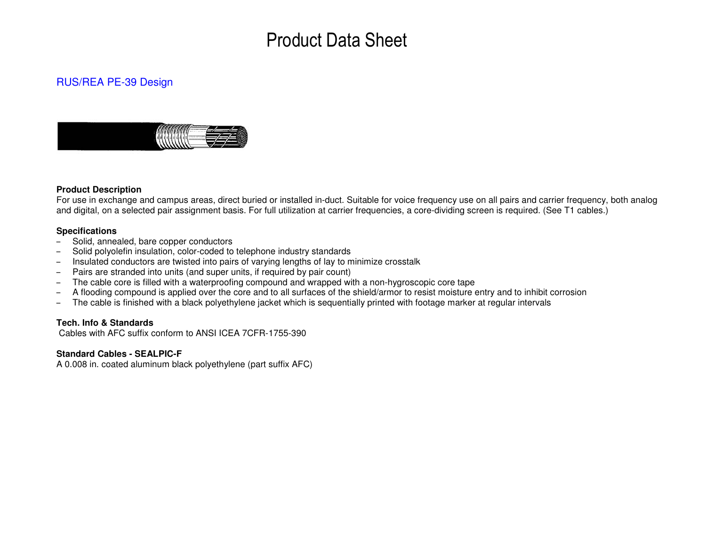# Product Data Sheet

### RUS/REA PE-39 Design



#### **Product Description**

 For use in exchange and campus areas, direct buried or installed in-duct. Suitable for voice frequency use on all pairs and carrier frequency, both analog and digital, on a selected pair assignment basis. For full utilization at carrier frequencies, a core-dividing screen is required. (See T1 cables.)

#### **Specifications**

- Solid, annealed, bare copper conductors
- Solid polyolefin insulation, color-coded to telephone industry standards
- Insulated conductors are twisted into pairs of varying lengths of lay to minimize crosstalk
- Pairs are stranded into units (and super units, if required by pair count)
- The cable core is filled with a waterproofing compound and wrapped with a non-hygroscopic core tape
- A flooding compound is applied over the core and to all surfaces of the shield/armor to resist moisture entry and to inhibit corrosion
- The cable is finished with a black polyethylene jacket which is sequentially printed with footage marker at regular intervals

#### **Tech. Info & Standards**

Cables with AFC suffix conform to ANSI ICEA 7CFR-1755-390

#### **Standard Cables - SEALPIC-F**

A 0.008 in. coated aluminum black polyethylene (part suffix AFC)